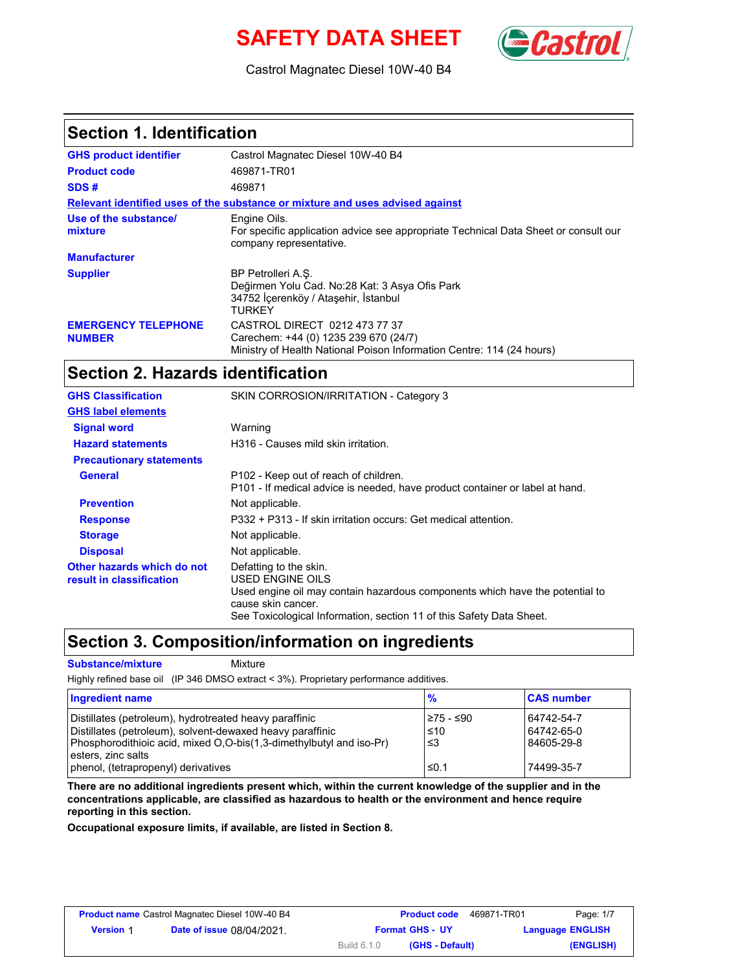# **SAFETY DATA SHEET** (Castro



Castrol Magnatec Diesel 10W-40 B4

#### **Section 1. Identification**

| <b>GHS product identifier</b>               | Castrol Magnatec Diesel 10W-40 B4                                                                                                               |
|---------------------------------------------|-------------------------------------------------------------------------------------------------------------------------------------------------|
| <b>Product code</b>                         | 469871-TR01                                                                                                                                     |
| SDS#                                        | 469871                                                                                                                                          |
|                                             | Relevant identified uses of the substance or mixture and uses advised against                                                                   |
| Use of the substance/<br>mixture            | Engine Oils.<br>For specific application advice see appropriate Technical Data Sheet or consult our<br>company representative.                  |
| <b>Manufacturer</b>                         |                                                                                                                                                 |
| <b>Supplier</b>                             | BP Petrolleri A.S.<br>Değirmen Yolu Cad. No:28 Kat: 3 Asya Ofis Park<br>34752 İçerenköy / Ataşehir, İstanbul<br>TURKFY                          |
| <b>EMERGENCY TELEPHONE</b><br><b>NUMBER</b> | CASTROL DIRECT 0212 473 77 37<br>Carechem: +44 (0) 1235 239 670 (24/7)<br>Ministry of Health National Poison Information Centre: 114 (24 hours) |

### **Section 2. Hazards identification**

| <b>GHS Classification</b>                              | SKIN CORROSION/IRRITATION - Category 3                                                                                                                                                                                   |
|--------------------------------------------------------|--------------------------------------------------------------------------------------------------------------------------------------------------------------------------------------------------------------------------|
| <b>GHS label elements</b>                              |                                                                                                                                                                                                                          |
| <b>Signal word</b>                                     | Warning                                                                                                                                                                                                                  |
| <b>Hazard statements</b>                               | H316 - Causes mild skin irritation.                                                                                                                                                                                      |
| <b>Precautionary statements</b>                        |                                                                                                                                                                                                                          |
| General                                                | P102 - Keep out of reach of children.<br>P101 - If medical advice is needed, have product container or label at hand.                                                                                                    |
| <b>Prevention</b>                                      | Not applicable.                                                                                                                                                                                                          |
| <b>Response</b>                                        | P332 + P313 - If skin irritation occurs: Get medical attention.                                                                                                                                                          |
| <b>Storage</b>                                         | Not applicable.                                                                                                                                                                                                          |
| <b>Disposal</b>                                        | Not applicable.                                                                                                                                                                                                          |
| Other hazards which do not<br>result in classification | Defatting to the skin.<br>USED ENGINE OILS<br>Used engine oil may contain hazardous components which have the potential to<br>cause skin cancer.<br>See Toxicological Information, section 11 of this Safety Data Sheet. |

### **Section 3. Composition/information on ingredients**

**Substance/mixture** Mixture

Highly refined base oil (IP 346 DMSO extract < 3%). Proprietary performance additives.

| Ingredient name                                                                                                                                                                                                  | $\frac{9}{6}$                 | <b>CAS number</b>                      |
|------------------------------------------------------------------------------------------------------------------------------------------------------------------------------------------------------------------|-------------------------------|----------------------------------------|
| Distillates (petroleum), hydrotreated heavy paraffinic<br>Distillates (petroleum), solvent-dewaxed heavy paraffinic<br>Phosphorodithioic acid, mixed O,O-bis(1,3-dimethylbutyl and iso-Pr)<br>esters, zinc salts | 275 - ≤90<br>$\leq 10$<br>ا≥ا | 64742-54-7<br>64742-65-0<br>84605-29-8 |
| phenol, (tetrapropenyl) derivatives                                                                                                                                                                              | ≤0.1                          | 74499-35-7                             |

**There are no additional ingredients present which, within the current knowledge of the supplier and in the concentrations applicable, are classified as hazardous to health or the environment and hence require reporting in this section.**

**Occupational exposure limits, if available, are listed in Section 8.**

| <b>Product name</b> Castrol Magnatec Diesel 10W-40 B4 |                                  | <b>Product code</b>            | 469871-TR01<br>Page: 1/7 |
|-------------------------------------------------------|----------------------------------|--------------------------------|--------------------------|
| <b>Version 1</b>                                      | <b>Date of issue 08/04/2021.</b> | <b>Format GHS - UY</b>         | <b>Language ENGLISH</b>  |
|                                                       |                                  | Build 6.1.0<br>(GHS - Default) | (ENGLISH)                |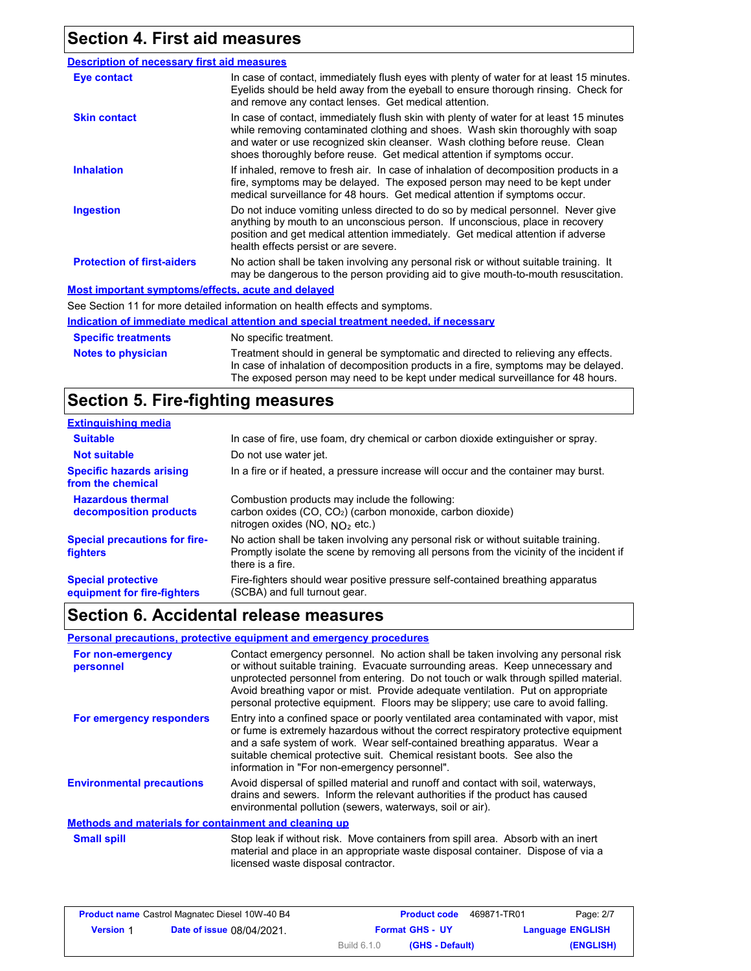## **Section 4. First aid measures**

| <b>Description of necessary first aid measures</b> |                                                                                                                                                                                                                                                                                                                                      |
|----------------------------------------------------|--------------------------------------------------------------------------------------------------------------------------------------------------------------------------------------------------------------------------------------------------------------------------------------------------------------------------------------|
| <b>Eye contact</b>                                 | In case of contact, immediately flush eyes with plenty of water for at least 15 minutes.<br>Eyelids should be held away from the eyeball to ensure thorough rinsing. Check for<br>and remove any contact lenses. Get medical attention.                                                                                              |
| <b>Skin contact</b>                                | In case of contact, immediately flush skin with plenty of water for at least 15 minutes<br>while removing contaminated clothing and shoes. Wash skin thoroughly with soap<br>and water or use recognized skin cleanser. Wash clothing before reuse. Clean<br>shoes thoroughly before reuse. Get medical attention if symptoms occur. |
| <b>Inhalation</b>                                  | If inhaled, remove to fresh air. In case of inhalation of decomposition products in a<br>fire, symptoms may be delayed. The exposed person may need to be kept under<br>medical surveillance for 48 hours. Get medical attention if symptoms occur.                                                                                  |
| <b>Ingestion</b>                                   | Do not induce vomiting unless directed to do so by medical personnel. Never give<br>anything by mouth to an unconscious person. If unconscious, place in recovery<br>position and get medical attention immediately. Get medical attention if adverse<br>health effects persist or are severe.                                       |
| <b>Protection of first-aiders</b>                  | No action shall be taken involving any personal risk or without suitable training. It<br>may be dangerous to the person providing aid to give mouth-to-mouth resuscitation.                                                                                                                                                          |
| Most important symptoms/effects, acute and delayed |                                                                                                                                                                                                                                                                                                                                      |
|                                                    | See Section 11 for more detailed information on health effects and symptoms.                                                                                                                                                                                                                                                         |
|                                                    | Indication of immediate medical attention and special treatment needed, if necessary                                                                                                                                                                                                                                                 |
| <b>Specific treatments</b>                         | No specific treatment.                                                                                                                                                                                                                                                                                                               |
| <b>Notes to physician</b>                          | Treatment should in general be symptomatic and directed to relieving any effects.                                                                                                                                                                                                                                                    |

## **Section 5. Fire-fighting measures**

| <b>Extinguishing media</b>                               |                                                                                                                                                                                                   |
|----------------------------------------------------------|---------------------------------------------------------------------------------------------------------------------------------------------------------------------------------------------------|
| <b>Suitable</b>                                          | In case of fire, use foam, dry chemical or carbon dioxide extinguisher or spray.                                                                                                                  |
| <b>Not suitable</b>                                      | Do not use water jet.                                                                                                                                                                             |
| <b>Specific hazards arising</b><br>from the chemical     | In a fire or if heated, a pressure increase will occur and the container may burst.                                                                                                               |
| <b>Hazardous thermal</b><br>decomposition products       | Combustion products may include the following:<br>carbon oxides (CO, CO <sub>2</sub> ) (carbon monoxide, carbon dioxide)<br>nitrogen oxides (NO, $NO2$ etc.)                                      |
| <b>Special precautions for fire-</b><br><b>fighters</b>  | No action shall be taken involving any personal risk or without suitable training.<br>Promptly isolate the scene by removing all persons from the vicinity of the incident if<br>there is a fire. |
| <b>Special protective</b><br>equipment for fire-fighters | Fire-fighters should wear positive pressure self-contained breathing apparatus<br>(SCBA) and full turnout gear.                                                                                   |

In case of inhalation of decomposition products in a fire, symptoms may be delayed. The exposed person may need to be kept under medical surveillance for 48 hours.

## **Section 6. Accidental release measures**

#### **Personal precautions, protective equipment and emergency procedures**

| For non-emergency<br>personnel                        | Contact emergency personnel. No action shall be taken involving any personal risk<br>or without suitable training. Evacuate surrounding areas. Keep unnecessary and<br>unprotected personnel from entering. Do not touch or walk through spilled material.<br>Avoid breathing vapor or mist. Provide adequate ventilation. Put on appropriate<br>personal protective equipment. Floors may be slippery; use care to avoid falling. |
|-------------------------------------------------------|------------------------------------------------------------------------------------------------------------------------------------------------------------------------------------------------------------------------------------------------------------------------------------------------------------------------------------------------------------------------------------------------------------------------------------|
| For emergency responders                              | Entry into a confined space or poorly ventilated area contaminated with vapor, mist<br>or fume is extremely hazardous without the correct respiratory protective equipment<br>and a safe system of work. Wear self-contained breathing apparatus. Wear a<br>suitable chemical protective suit. Chemical resistant boots. See also the<br>information in "For non-emergency personnel".                                             |
| <b>Environmental precautions</b>                      | Avoid dispersal of spilled material and runoff and contact with soil, waterways,<br>drains and sewers. Inform the relevant authorities if the product has caused<br>environmental pollution (sewers, waterways, soil or air).                                                                                                                                                                                                      |
| Methods and materials for containment and cleaning up |                                                                                                                                                                                                                                                                                                                                                                                                                                    |
| <b>Small spill</b>                                    | Stop leak if without risk. Move containers from spill area. Absorb with an inert<br>material and place in an appropriate waste disposal container. Dispose of via a<br>licensed waste disposal contractor.                                                                                                                                                                                                                         |

| <b>Product name</b> Castrol Magnatec Diesel 10W-40 B4 |                                  |                    | <b>Product code</b>    | 469871-TR01 | Page: 2/7               |
|-------------------------------------------------------|----------------------------------|--------------------|------------------------|-------------|-------------------------|
| <b>Version 1</b>                                      | <b>Date of issue 08/04/2021.</b> |                    | <b>Format GHS - UY</b> |             | <b>Language ENGLISH</b> |
|                                                       |                                  | <b>Build 6.1.0</b> | (GHS - Default)        |             | (ENGLISH)               |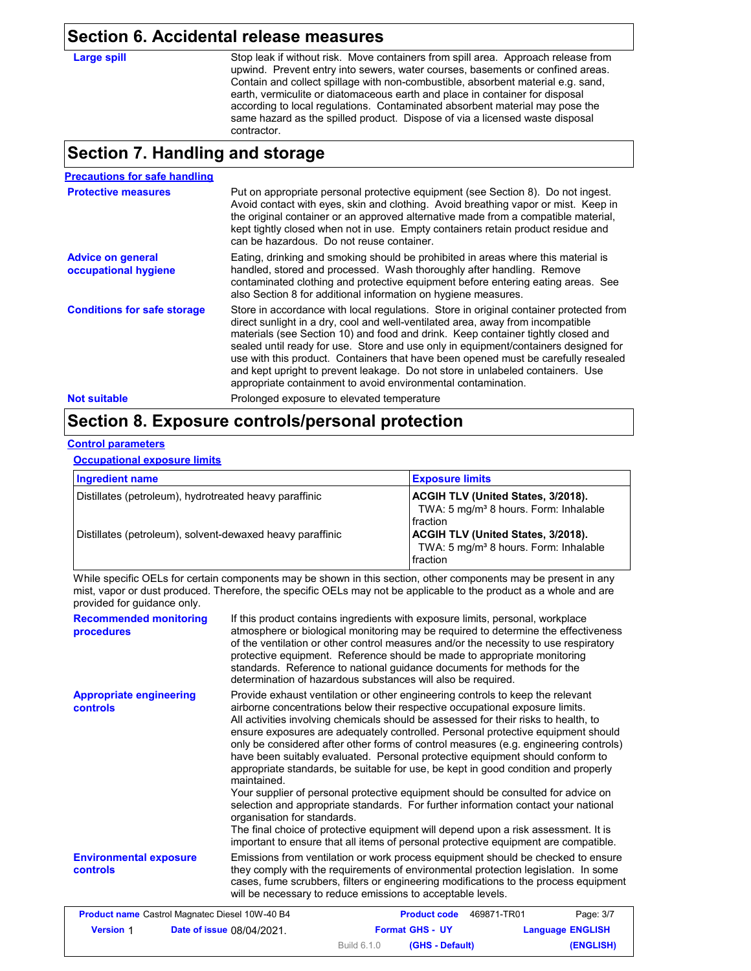#### **Section 6. Accidental release measures**

Large spill Stop leak if without risk. Move containers from spill area. Approach release from upwind. Prevent entry into sewers, water courses, basements or confined areas. Contain and collect spillage with non-combustible, absorbent material e.g. sand, earth, vermiculite or diatomaceous earth and place in container for disposal according to local regulations. Contaminated absorbent material may pose the same hazard as the spilled product. Dispose of via a licensed waste disposal contractor.

### **Section 7. Handling and storage**

| <b>Precautions for safe handling</b>             |                                                                                                                                                                                                                                                                                                                                                                                                                                                                                                                                                                                               |
|--------------------------------------------------|-----------------------------------------------------------------------------------------------------------------------------------------------------------------------------------------------------------------------------------------------------------------------------------------------------------------------------------------------------------------------------------------------------------------------------------------------------------------------------------------------------------------------------------------------------------------------------------------------|
| <b>Protective measures</b>                       | Put on appropriate personal protective equipment (see Section 8). Do not ingest.<br>Avoid contact with eyes, skin and clothing. Avoid breathing vapor or mist. Keep in<br>the original container or an approved alternative made from a compatible material.<br>kept tightly closed when not in use. Empty containers retain product residue and<br>can be hazardous. Do not reuse container.                                                                                                                                                                                                 |
| <b>Advice on general</b><br>occupational hygiene | Eating, drinking and smoking should be prohibited in areas where this material is<br>handled, stored and processed. Wash thoroughly after handling. Remove<br>contaminated clothing and protective equipment before entering eating areas. See<br>also Section 8 for additional information on hygiene measures.                                                                                                                                                                                                                                                                              |
| <b>Conditions for safe storage</b>               | Store in accordance with local regulations. Store in original container protected from<br>direct sunlight in a dry, cool and well-ventilated area, away from incompatible<br>materials (see Section 10) and food and drink. Keep container tightly closed and<br>sealed until ready for use. Store and use only in equipment/containers designed for<br>use with this product. Containers that have been opened must be carefully resealed<br>and kept upright to prevent leakage. Do not store in unlabeled containers. Use<br>appropriate containment to avoid environmental contamination. |
| <b>Not suitable</b>                              | Prolonged exposure to elevated temperature                                                                                                                                                                                                                                                                                                                                                                                                                                                                                                                                                    |

## **Section 8. Exposure controls/personal protection**

#### **Control parameters**

**Occupational exposure limits**

| Ingredient name                                           | <b>Exposure limits</b>                                                                                       |
|-----------------------------------------------------------|--------------------------------------------------------------------------------------------------------------|
| Distillates (petroleum), hydrotreated heavy paraffinic    | <b>ACGIH TLV (United States, 3/2018).</b><br>TWA: 5 mg/m <sup>3</sup> 8 hours. Form: Inhalable<br>l fraction |
| Distillates (petroleum), solvent-dewaxed heavy paraffinic | ACGIH TLV (United States, 3/2018).<br>TWA: 5 mg/m <sup>3</sup> 8 hours. Form: Inhalable<br>fraction          |

While specific OELs for certain components may be shown in this section, other components may be present in any mist, vapor or dust produced. Therefore, the specific OELs may not be applicable to the product as a whole and are provided for guidance only.

| <b>Recommended monitoring</b><br>procedures       | If this product contains ingredients with exposure limits, personal, workplace<br>atmosphere or biological monitoring may be required to determine the effectiveness<br>of the ventilation or other control measures and/or the necessity to use respiratory<br>protective equipment. Reference should be made to appropriate monitoring<br>standards. Reference to national guidance documents for methods for the<br>determination of hazardous substances will also be required.                                                                                                                                                                                                                                                                                                                                                                                                                                                                                                                           |
|---------------------------------------------------|---------------------------------------------------------------------------------------------------------------------------------------------------------------------------------------------------------------------------------------------------------------------------------------------------------------------------------------------------------------------------------------------------------------------------------------------------------------------------------------------------------------------------------------------------------------------------------------------------------------------------------------------------------------------------------------------------------------------------------------------------------------------------------------------------------------------------------------------------------------------------------------------------------------------------------------------------------------------------------------------------------------|
| <b>Appropriate engineering</b><br><b>controls</b> | Provide exhaust ventilation or other engineering controls to keep the relevant<br>airborne concentrations below their respective occupational exposure limits.<br>All activities involving chemicals should be assessed for their risks to health, to<br>ensure exposures are adequately controlled. Personal protective equipment should<br>only be considered after other forms of control measures (e.g. engineering controls)<br>have been suitably evaluated. Personal protective equipment should conform to<br>appropriate standards, be suitable for use, be kept in good condition and properly<br>maintained.<br>Your supplier of personal protective equipment should be consulted for advice on<br>selection and appropriate standards. For further information contact your national<br>organisation for standards.<br>The final choice of protective equipment will depend upon a risk assessment. It is<br>important to ensure that all items of personal protective equipment are compatible. |
| <b>Environmental exposure</b><br><b>controls</b>  | Emissions from ventilation or work process equipment should be checked to ensure<br>they comply with the requirements of environmental protection legislation. In some<br>cases, fume scrubbers, filters or engineering modifications to the process equipment<br>will be necessary to reduce emissions to acceptable levels.                                                                                                                                                                                                                                                                                                                                                                                                                                                                                                                                                                                                                                                                                 |

| <b>Product name</b> Castrol Magnatec Diesel 10W-40 B4 |                                  | <b>Product code</b>            | 469871-TR01<br>Page: 3/7 |
|-------------------------------------------------------|----------------------------------|--------------------------------|--------------------------|
| <b>Version 1</b>                                      | <b>Date of issue 08/04/2021.</b> | <b>Format GHS - UY</b>         | <b>Language ENGLISH</b>  |
|                                                       |                                  | Build 6.1.0<br>(GHS - Default) | (ENGLISH)                |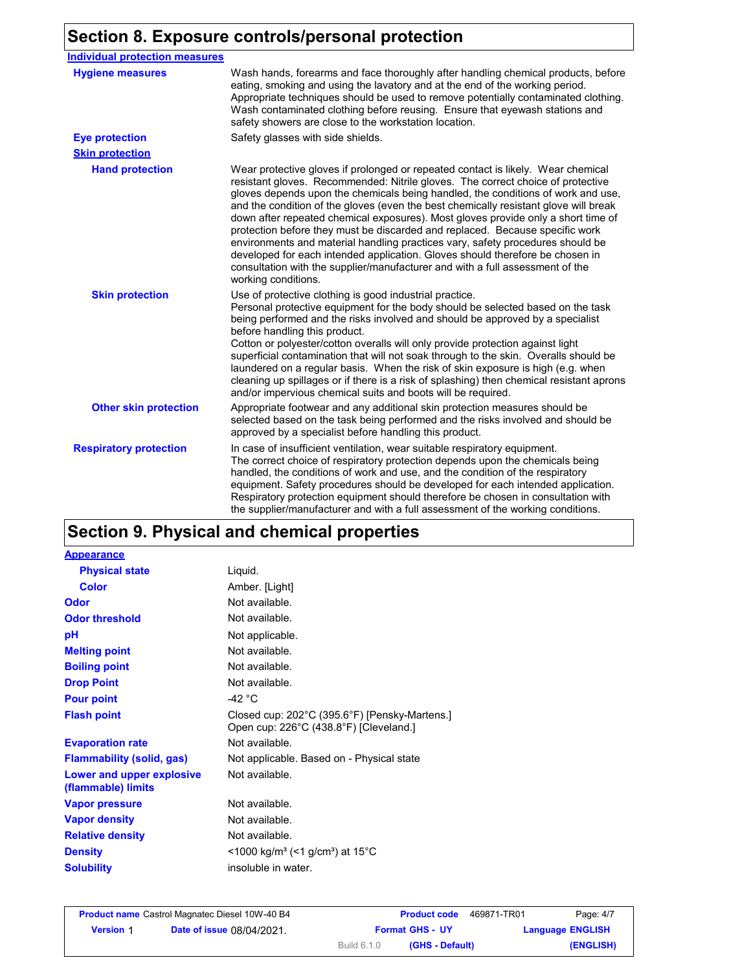# **Section 8. Exposure controls/personal protection**

| <b>Individual protection measures</b> |                                                                                                                                                                                                                                                                                                                                                                                                                                                                                                                                                                                                                                                                                                                                                                                                 |
|---------------------------------------|-------------------------------------------------------------------------------------------------------------------------------------------------------------------------------------------------------------------------------------------------------------------------------------------------------------------------------------------------------------------------------------------------------------------------------------------------------------------------------------------------------------------------------------------------------------------------------------------------------------------------------------------------------------------------------------------------------------------------------------------------------------------------------------------------|
| <b>Hygiene measures</b>               | Wash hands, forearms and face thoroughly after handling chemical products, before<br>eating, smoking and using the lavatory and at the end of the working period.<br>Appropriate techniques should be used to remove potentially contaminated clothing.<br>Wash contaminated clothing before reusing. Ensure that eyewash stations and<br>safety showers are close to the workstation location.                                                                                                                                                                                                                                                                                                                                                                                                 |
| <b>Eye protection</b>                 | Safety glasses with side shields.                                                                                                                                                                                                                                                                                                                                                                                                                                                                                                                                                                                                                                                                                                                                                               |
| <b>Skin protection</b>                |                                                                                                                                                                                                                                                                                                                                                                                                                                                                                                                                                                                                                                                                                                                                                                                                 |
| <b>Hand protection</b>                | Wear protective gloves if prolonged or repeated contact is likely. Wear chemical<br>resistant gloves. Recommended: Nitrile gloves. The correct choice of protective<br>gloves depends upon the chemicals being handled, the conditions of work and use,<br>and the condition of the gloves (even the best chemically resistant glove will break<br>down after repeated chemical exposures). Most gloves provide only a short time of<br>protection before they must be discarded and replaced. Because specific work<br>environments and material handling practices vary, safety procedures should be<br>developed for each intended application. Gloves should therefore be chosen in<br>consultation with the supplier/manufacturer and with a full assessment of the<br>working conditions. |
| <b>Skin protection</b>                | Use of protective clothing is good industrial practice.<br>Personal protective equipment for the body should be selected based on the task<br>being performed and the risks involved and should be approved by a specialist<br>before handling this product.<br>Cotton or polyester/cotton overalls will only provide protection against light<br>superficial contamination that will not soak through to the skin. Overalls should be<br>laundered on a regular basis. When the risk of skin exposure is high (e.g. when<br>cleaning up spillages or if there is a risk of splashing) then chemical resistant aprons<br>and/or impervious chemical suits and boots will be required.                                                                                                           |
| <b>Other skin protection</b>          | Appropriate footwear and any additional skin protection measures should be<br>selected based on the task being performed and the risks involved and should be<br>approved by a specialist before handling this product.                                                                                                                                                                                                                                                                                                                                                                                                                                                                                                                                                                         |
| <b>Respiratory protection</b>         | In case of insufficient ventilation, wear suitable respiratory equipment.<br>The correct choice of respiratory protection depends upon the chemicals being<br>handled, the conditions of work and use, and the condition of the respiratory<br>equipment. Safety procedures should be developed for each intended application.<br>Respiratory protection equipment should therefore be chosen in consultation with<br>the supplier/manufacturer and with a full assessment of the working conditions.                                                                                                                                                                                                                                                                                           |

# **Section 9. Physical and chemical properties**

| <b>Appearance</b>                               |                                                                                         |
|-------------------------------------------------|-----------------------------------------------------------------------------------------|
| <b>Physical state</b>                           | Liquid.                                                                                 |
| Color                                           | Amber. [Light]                                                                          |
| Odor                                            | Not available.                                                                          |
| <b>Odor threshold</b>                           | Not available.                                                                          |
| рH                                              | Not applicable.                                                                         |
| <b>Melting point</b>                            | Not available.                                                                          |
| <b>Boiling point</b>                            | Not available.                                                                          |
| <b>Drop Point</b>                               | Not available.                                                                          |
| <b>Pour point</b>                               | -42 °C                                                                                  |
| <b>Flash point</b>                              | Closed cup: 202°C (395.6°F) [Pensky-Martens.]<br>Open cup: 226°C (438.8°F) [Cleveland.] |
| <b>Evaporation rate</b>                         | Not available.                                                                          |
| <b>Flammability (solid, gas)</b>                | Not applicable. Based on - Physical state                                               |
| Lower and upper explosive<br>(flammable) limits | Not available.                                                                          |
| <b>Vapor pressure</b>                           | Not available.                                                                          |
| <b>Vapor density</b>                            | Not available.                                                                          |
| <b>Relative density</b>                         | Not available.                                                                          |
| <b>Density</b>                                  | <1000 kg/m <sup>3</sup> (<1 g/cm <sup>3</sup> ) at 15 <sup>°</sup> C                    |
| <b>Solubility</b>                               | insoluble in water.                                                                     |

| <b>Product name</b> Castrol Magnatec Diesel 10W-40 B4 |                                  |             | <b>Product code</b>    | 469871-TR01 | Page: 4/7               |
|-------------------------------------------------------|----------------------------------|-------------|------------------------|-------------|-------------------------|
| <b>Version 1</b>                                      | <b>Date of issue 08/04/2021.</b> |             | <b>Format GHS - UY</b> |             | <b>Language ENGLISH</b> |
|                                                       |                                  | Build 6.1.0 | (GHS - Default)        |             | (ENGLISH)               |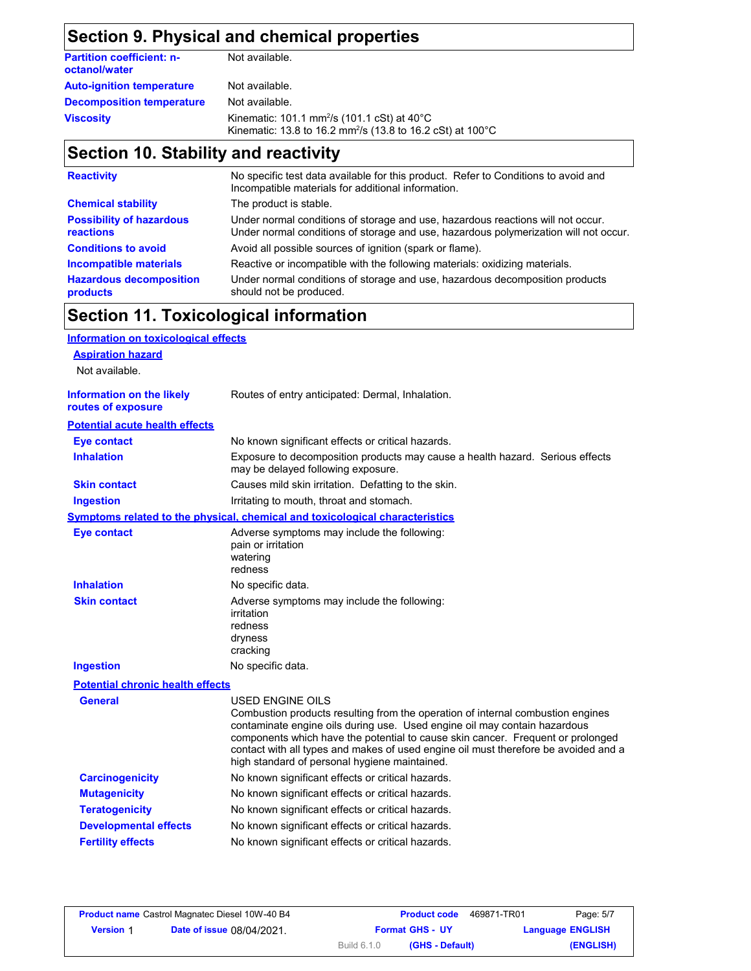# **Section 9. Physical and chemical properties**

| <b>Partition coefficient: n-</b><br>octanol/water | Not available.                                                                                                                              |
|---------------------------------------------------|---------------------------------------------------------------------------------------------------------------------------------------------|
| <b>Auto-ignition temperature</b>                  | Not available.                                                                                                                              |
| <b>Decomposition temperature</b>                  | Not available.                                                                                                                              |
| <b>Viscosity</b>                                  | Kinematic: 101.1 mm <sup>2</sup> /s (101.1 cSt) at $40^{\circ}$ C<br>Kinematic: 13.8 to 16.2 mm <sup>2</sup> /s (13.8 to 16.2 cSt) at 100°C |

# **Section 10. Stability and reactivity**

| <b>Reactivity</b>                            | No specific test data available for this product. Refer to Conditions to avoid and<br>Incompatible materials for additional information.                                |
|----------------------------------------------|-------------------------------------------------------------------------------------------------------------------------------------------------------------------------|
| <b>Chemical stability</b>                    | The product is stable.                                                                                                                                                  |
| <b>Possibility of hazardous</b><br>reactions | Under normal conditions of storage and use, hazardous reactions will not occur.<br>Under normal conditions of storage and use, hazardous polymerization will not occur. |
| <b>Conditions to avoid</b>                   | Avoid all possible sources of ignition (spark or flame).                                                                                                                |
| <b>Incompatible materials</b>                | Reactive or incompatible with the following materials: oxidizing materials.                                                                                             |
| <b>Hazardous decomposition</b><br>products   | Under normal conditions of storage and use, hazardous decomposition products<br>should not be produced.                                                                 |

# **Section 11. Toxicological information**

| <b>Information on toxicological effects</b>            |                                                                                                                                                                                                                                                                                                                                                                                                             |
|--------------------------------------------------------|-------------------------------------------------------------------------------------------------------------------------------------------------------------------------------------------------------------------------------------------------------------------------------------------------------------------------------------------------------------------------------------------------------------|
| <b>Aspiration hazard</b>                               |                                                                                                                                                                                                                                                                                                                                                                                                             |
| Not available.                                         |                                                                                                                                                                                                                                                                                                                                                                                                             |
| <b>Information on the likely</b><br>routes of exposure | Routes of entry anticipated: Dermal, Inhalation.                                                                                                                                                                                                                                                                                                                                                            |
| <b>Potential acute health effects</b>                  |                                                                                                                                                                                                                                                                                                                                                                                                             |
| <b>Eye contact</b>                                     | No known significant effects or critical hazards.                                                                                                                                                                                                                                                                                                                                                           |
| <b>Inhalation</b>                                      | Exposure to decomposition products may cause a health hazard. Serious effects<br>may be delayed following exposure.                                                                                                                                                                                                                                                                                         |
| <b>Skin contact</b>                                    | Causes mild skin irritation. Defatting to the skin.                                                                                                                                                                                                                                                                                                                                                         |
| <b>Ingestion</b>                                       | Irritating to mouth, throat and stomach.                                                                                                                                                                                                                                                                                                                                                                    |
|                                                        | <b>Symptoms related to the physical, chemical and toxicological characteristics</b>                                                                                                                                                                                                                                                                                                                         |
| <b>Eye contact</b>                                     | Adverse symptoms may include the following:<br>pain or irritation<br>watering<br>redness                                                                                                                                                                                                                                                                                                                    |
| <b>Inhalation</b>                                      | No specific data.                                                                                                                                                                                                                                                                                                                                                                                           |
| <b>Skin contact</b>                                    | Adverse symptoms may include the following:<br>irritation<br>redness<br>dryness<br>cracking                                                                                                                                                                                                                                                                                                                 |
| <b>Ingestion</b>                                       | No specific data.                                                                                                                                                                                                                                                                                                                                                                                           |
| <b>Potential chronic health effects</b>                |                                                                                                                                                                                                                                                                                                                                                                                                             |
| <b>General</b>                                         | USED ENGINE OILS<br>Combustion products resulting from the operation of internal combustion engines<br>contaminate engine oils during use. Used engine oil may contain hazardous<br>components which have the potential to cause skin cancer. Frequent or prolonged<br>contact with all types and makes of used engine oil must therefore be avoided and a<br>high standard of personal hygiene maintained. |
| <b>Carcinogenicity</b>                                 | No known significant effects or critical hazards.                                                                                                                                                                                                                                                                                                                                                           |
| <b>Mutagenicity</b>                                    | No known significant effects or critical hazards.                                                                                                                                                                                                                                                                                                                                                           |
| <b>Teratogenicity</b>                                  | No known significant effects or critical hazards.                                                                                                                                                                                                                                                                                                                                                           |
| <b>Developmental effects</b>                           | No known significant effects or critical hazards.                                                                                                                                                                                                                                                                                                                                                           |
| <b>Fertility effects</b>                               | No known significant effects or critical hazards.                                                                                                                                                                                                                                                                                                                                                           |
|                                                        |                                                                                                                                                                                                                                                                                                                                                                                                             |

| <b>Product name</b> Castrol Magnatec Diesel 10W-40 B4 |                                  |             | <b>Product code</b>    | 469871-TR01 | Page: 5/7               |
|-------------------------------------------------------|----------------------------------|-------------|------------------------|-------------|-------------------------|
| <b>Version 1</b>                                      | <b>Date of issue 08/04/2021.</b> |             | <b>Format GHS - UY</b> |             | <b>Language ENGLISH</b> |
|                                                       |                                  | Build 6.1.0 | (GHS - Default)        |             | (ENGLISH)               |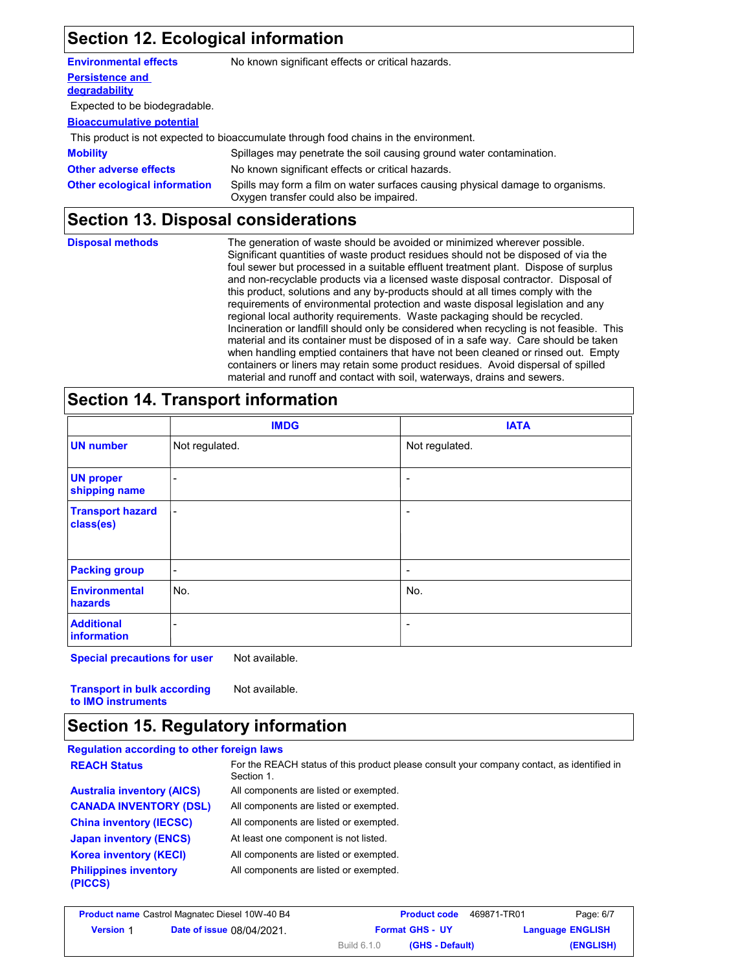## **Section 12. Ecological information**

| <b>Environmental effects</b>            | No known significant effects or critical hazards.                                                                         |
|-----------------------------------------|---------------------------------------------------------------------------------------------------------------------------|
| <b>Persistence and</b><br>degradability |                                                                                                                           |
| Expected to be biodegradable.           |                                                                                                                           |
| <b>Bioaccumulative potential</b>        |                                                                                                                           |
|                                         | This product is not expected to bioaccumulate through food chains in the environment.                                     |
| <b>Mobility</b>                         | Spillages may penetrate the soil causing ground water contamination.                                                      |
| <b>Other adverse effects</b>            | No known significant effects or critical hazards.                                                                         |
| <b>Other ecological information</b>     | Spills may form a film on water surfaces causing physical damage to organisms.<br>Oxygen transfer could also be impaired. |

## **Section 13. Disposal considerations**

| <b>Disposal methods</b> | The generation of waste should be avoided or minimized wherever possible.               |
|-------------------------|-----------------------------------------------------------------------------------------|
|                         | Significant quantities of waste product residues should not be disposed of via the      |
|                         | foul sewer but processed in a suitable effluent treatment plant. Dispose of surplus     |
|                         | and non-recyclable products via a licensed waste disposal contractor. Disposal of       |
|                         | this product, solutions and any by-products should at all times comply with the         |
|                         | requirements of environmental protection and waste disposal legislation and any         |
|                         | regional local authority requirements. Waste packaging should be recycled.              |
|                         | Incineration or landfill should only be considered when recycling is not feasible. This |
|                         | material and its container must be disposed of in a safe way. Care should be taken      |
|                         | when handling emptied containers that have not been cleaned or rinsed out. Empty        |
|                         | containers or liners may retain some product residues. Avoid dispersal of spilled       |
|                         | material and runoff and contact with soil, waterways, drains and sewers.                |

## **Section 14. Transport information**

|                                         | <b>IMDG</b>              | <b>IATA</b>     |
|-----------------------------------------|--------------------------|-----------------|
| <b>UN number</b>                        | Not regulated.           | Not regulated.  |
| <b>UN proper</b><br>shipping name       | $\overline{\phantom{a}}$ | ٠               |
| <b>Transport hazard</b><br>class(es)    | $\overline{\phantom{a}}$ | ٠               |
| <b>Packing group</b>                    | $\sim$                   | $\qquad \qquad$ |
| <b>Environmental</b><br>hazards         | No.                      | No.             |
| <b>Additional</b><br><b>information</b> | -                        | ٠               |

**Special precautions for user** Not available.

**Transport in bulk according to IMO instruments** Not available.

### **Section 15. Regulatory information**

#### **Regulation according to other foreign laws**

| <b>REACH Status</b>                     | For the REACH status of this product please consult your company contact, as identified in<br>Section 1. |
|-----------------------------------------|----------------------------------------------------------------------------------------------------------|
| <b>Australia inventory (AICS)</b>       | All components are listed or exempted.                                                                   |
| <b>CANADA INVENTORY (DSL)</b>           | All components are listed or exempted.                                                                   |
| <b>China inventory (IECSC)</b>          | All components are listed or exempted.                                                                   |
| <b>Japan inventory (ENCS)</b>           | At least one component is not listed.                                                                    |
| <b>Korea inventory (KECI)</b>           | All components are listed or exempted.                                                                   |
| <b>Philippines inventory</b><br>(PICCS) | All components are listed or exempted.                                                                   |

| <b>Product name</b> Castrol Magnatec Diesel 10W-40 B4 |                                  | <b>Product code</b>                   | 469871-TR01<br>Page: 6/7 |
|-------------------------------------------------------|----------------------------------|---------------------------------------|--------------------------|
| <b>Version 1</b>                                      | <b>Date of issue 08/04/2021.</b> | <b>Format GHS - UY</b>                | <b>Language ENGLISH</b>  |
|                                                       |                                  | <b>Build 6.1.0</b><br>(GHS - Default) | (ENGLISH)                |